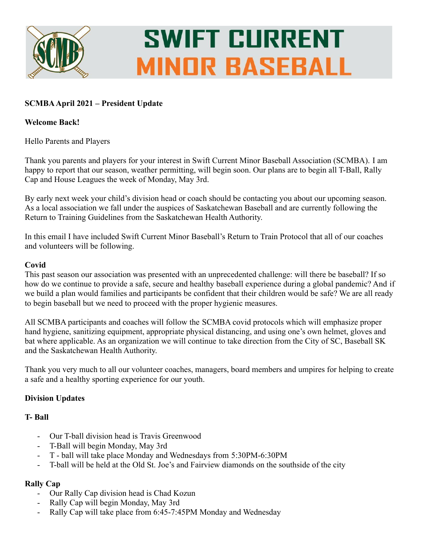

# **SWIFT CURRENT MINOR BASEBALL**

## **SCMBAApril 2021 – President Update**

#### **Welcome Back!**

Hello Parents and Players

Thank you parents and players for your interest in Swift Current Minor Baseball Association (SCMBA). I am happy to report that our season, weather permitting, will begin soon. Our plans are to begin all T-Ball, Rally Cap and House Leagues the week of Monday, May 3rd.

By early next week your child's division head or coach should be contacting you about our upcoming season. As a local association we fall under the auspices of Saskatchewan Baseball and are currently following the Return to Training Guidelines from the Saskatchewan Health Authority.

In this email I have included Swift Current Minor Baseball's Return to Train Protocol that all of our coaches and volunteers will be following.

## **Covid**

This past season our association was presented with an unprecedented challenge: will there be baseball? If so how do we continue to provide a safe, secure and healthy baseball experience during a global pandemic? And if we build a plan would families and participants be confident that their children would be safe? We are all ready to begin baseball but we need to proceed with the proper hygienic measures.

All SCMBA participants and coaches will follow the SCMBA covid protocols which will emphasize proper hand hygiene, sanitizing equipment, appropriate physical distancing, and using one's own helmet, gloves and bat where applicable. As an organization we will continue to take direction from the City of SC, Baseball SK and the Saskatchewan Health Authority.

Thank you very much to all our volunteer coaches, managers, board members and umpires for helping to create a safe and a healthy sporting experience for our youth.

## **Division Updates**

#### **T- Ball**

- Our T-ball division head is Travis Greenwood
- T-Ball will begin Monday, May 3rd
- T ball will take place Monday and Wednesdays from 5:30PM-6:30PM
- T-ball will be held at the Old St. Joe's and Fairview diamonds on the southside of the city

#### **Rally Cap**

- Our Rally Cap division head is Chad Kozun
- Rally Cap will begin Monday, May 3rd
- Rally Cap will take place from 6:45-7:45PM Monday and Wednesday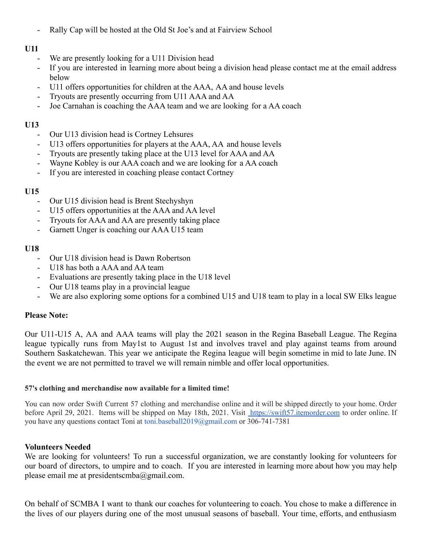- Rally Cap will be hosted at the Old St Joe's and at Fairview School

## **U11**

- We are presently looking for a U11 Division head
- If you are interested in learning more about being a division head please contact me at the email address below
- U11 offers opportunities for children at the AAA, AA and house levels
- Tryouts are presently occurring from U11 AAA and AA
- Joe Carnahan is coaching the AAA team and we are looking for a AA coach

## **U13**

- Our U13 division head is Cortney Lehsures
- U13 offers opportunities for players at the AAA, AA and house levels
- Tryouts are presently taking place at the U13 level for AAA and AA
- Wayne Kobley is our AAA coach and we are looking for a AA coach
- If you are interested in coaching please contact Cortney

## **U15**

- Our U15 division head is Brent Stechyshyn
- U15 offers opportunities at the AAA and AA level
- Tryouts for AAA and AA are presently taking place
- Garnett Unger is coaching our AAA U15 team

## **U18**

- Our U18 division head is Dawn Robertson
- U18 has both a AAA and AA team
- Evaluations are presently taking place in the U18 level
- Our U18 teams play in a provincial league
- We are also exploring some options for a combined U15 and U18 team to play in a local SW Elks league

#### **Please Note:**

Our U11-U15 A, AA and AAA teams will play the 2021 season in the Regina Baseball League. The Regina league typically runs from May1st to August 1st and involves travel and play against teams from around Southern Saskatchewan. This year we anticipate the Regina league will begin sometime in mid to late June. IN the event we are not permitted to travel we will remain nimble and offer local opportunities.

#### **57's clothing and merchandise now available for a limited time!**

You can now order Swift Current 57 clothing and merchandise online and it will be shipped directly to your home. Order before April 29, 2021. Items will be shipped on May 18th, 2021. Visit [https://swift57.itemorder.com](https://swift57.itemorder.com/) to order online. If you have any questions contact Toni at toni.baseball2019@gmail.com or 306-741-7381

#### **Volunteers Needed**

We are looking for volunteers! To run a successful organization, we are constantly looking for volunteers for our board of directors, to umpire and to coach. If you are interested in learning more about how you may help please email me at presidentscmba@gmail.com.

On behalf of SCMBA I want to thank our coaches for volunteering to coach. You chose to make a difference in the lives of our players during one of the most unusual seasons of baseball. Your time, efforts, and enthusiasm